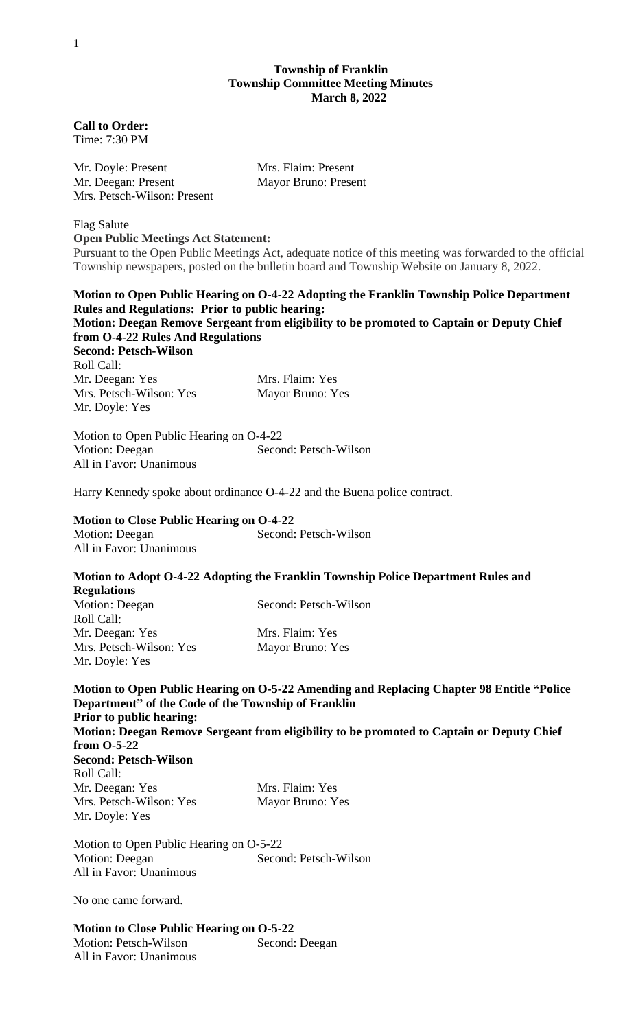### **Township of Franklin Township Committee Meeting Minutes March 8, 2022**

**Call to Order:** Time: 7:30 PM

Mr. Doyle: Present Mrs. Flaim: Present Mr. Deegan: Present Mayor Bruno: Present Mrs. Petsch-Wilson: Present

Flag Salute **Open Public Meetings Act Statement:**

Pursuant to the Open Public Meetings Act, adequate notice of this meeting was forwarded to the official Township newspapers, posted on the bulletin board and Township Website on January 8, 2022.

**Motion to Open Public Hearing on O-4-22 Adopting the Franklin Township Police Department Rules and Regulations: Prior to public hearing: Motion: Deegan Remove Sergeant from eligibility to be promoted to Captain or Deputy Chief from O-4-22 Rules And Regulations Second: Petsch-Wilson** Roll Call:

Mr. Deegan: Yes Mrs. Flaim: Yes Mrs. Petsch-Wilson: Yes Mayor Bruno: Yes Mr. Doyle: Yes

Motion to Open Public Hearing on O-4-22 Motion: Deegan Second: Petsch-Wilson All in Favor: Unanimous

Harry Kennedy spoke about ordinance O-4-22 and the Buena police contract.

**Motion to Close Public Hearing on O-4-22** Motion: Deegan Second: Petsch-Wilson All in Favor: Unanimous

## **Motion to Adopt O-4-22 Adopting the Franklin Township Police Department Rules and Regulations**

Motion: Deegan Second: Petsch-Wilson Roll Call: Mr. Deegan: Yes Mrs. Flaim: Yes Mrs. Petsch-Wilson: Yes Mayor Bruno: Yes Mr. Doyle: Yes

**Motion to Open Public Hearing on O-5-22 Amending and Replacing Chapter 98 Entitle "Police Department" of the Code of the Township of Franklin Prior to public hearing: Motion: Deegan Remove Sergeant from eligibility to be promoted to Captain or Deputy Chief from O-5-22 Second: Petsch-Wilson** Roll Call:

Mr. Deegan: Yes Mrs. Flaim: Yes Mrs. Petsch-Wilson: Yes Mayor Bruno: Yes Mr. Doyle: Yes

Motion to Open Public Hearing on O-5-22 Motion: Deegan Second: Petsch-Wilson All in Favor: Unanimous

No one came forward.

**Motion to Close Public Hearing on O-5-22** Motion: Petsch-Wilson Second: Deegan All in Favor: Unanimous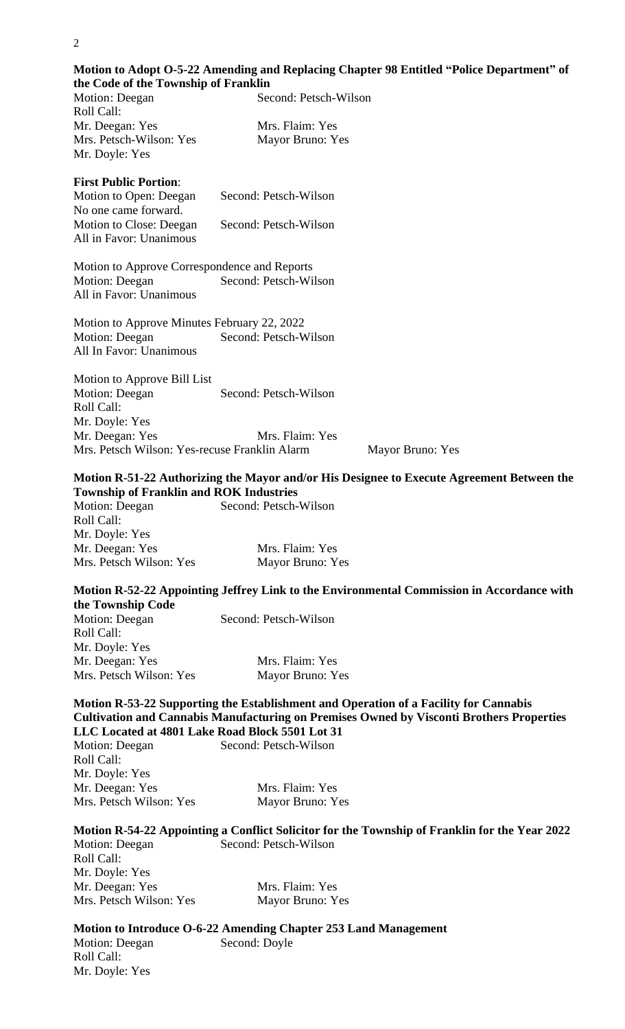# **Motion to Adopt O-5-22 Amending and Replacing Chapter 98 Entitled "Police Department" of the Code of the Township of Franklin**

| the Code of the Township of Franklin         |                       |  |
|----------------------------------------------|-----------------------|--|
| Motion: Deegan                               | Second: Petsch-Wilson |  |
| Roll Call:                                   |                       |  |
| Mr. Deegan: Yes                              | Mrs. Flaim: Yes       |  |
| Mrs. Petsch-Wilson: Yes                      | Mayor Bruno: Yes      |  |
| Mr. Doyle: Yes                               |                       |  |
| <b>First Public Portion:</b>                 |                       |  |
| Motion to Open: Deegan                       | Second: Petsch-Wilson |  |
| No one came forward.                         |                       |  |
| Motion to Close: Deegan                      | Second: Petsch-Wilson |  |
| All in Favor: Unanimous                      |                       |  |
| Motion to Approve Correspondence and Reports |                       |  |
| Motion: Deegan                               | Second: Petsch-Wilson |  |
| All in Favor: Unanimous                      |                       |  |
| Motion to Approve Minutes February 22, 2022  |                       |  |
| Motion: Deegan                               | Second: Petsch-Wilson |  |
| All In Favor: Unanimous                      |                       |  |
| Motion to Approve Bill List                  |                       |  |
| Motion: Deegan                               | Second: Petsch-Wilson |  |

Roll Call: Mr. Doyle: Yes Mr. Deegan: Yes Mrs. Flaim: Yes Mrs. Petsch Wilson: Yes-recuse Franklin Alarm Mayor Bruno: Yes

#### **Motion R-51-22 Authorizing the Mayor and/or His Designee to Execute Agreement Between the Township of Franklin and ROK Industries**

Motion: Deegan Second: Petsch-Wilson Roll Call: Mr. Doyle: Yes Mr. Deegan: Yes Mrs. Flaim: Yes Mrs. Petsch Wilson: Yes Mayor Bruno: Yes

#### **Motion R-52-22 Appointing Jeffrey Link to the Environmental Commission in Accordance with the Township Code**

Motion: Deegan Second: Petsch-Wilson Roll Call: Mr. Doyle: Yes Mr. Deegan: Yes Mrs. Flaim: Yes Mrs. Petsch Wilson: Yes Mayor Bruno: Yes

### **Motion R-53-22 Supporting the Establishment and Operation of a Facility for Cannabis Cultivation and Cannabis Manufacturing on Premises Owned by Visconti Brothers Properties LLC Located at 4801 Lake Road Block 5501 Lot 31**

| <b>Motion: Deegan</b>   | Second: Petsch-Wilson |
|-------------------------|-----------------------|
| Roll Call:              |                       |
| Mr. Doyle: Yes          |                       |
| Mr. Deegan: Yes         | Mrs. Flaim: Yes       |
| Mrs. Petsch Wilson: Yes | Mayor Bruno: Yes      |

### **Motion R-54-22 Appointing a Conflict Solicitor for the Township of Franklin for the Year 2022** Motion: Deegan Second: Petsch-Wilson

Roll Call: Mr. Doyle: Yes Mr. Deegan: Yes Mrs. Flaim: Yes Mrs. Petsch Wilson: Yes Mayor Bruno: Yes

Mr. Doyle: Yes

#### **Motion to Introduce O-6-22 Amending Chapter 253 Land Management** Motion: Deegan Second: Doyle Roll Call: